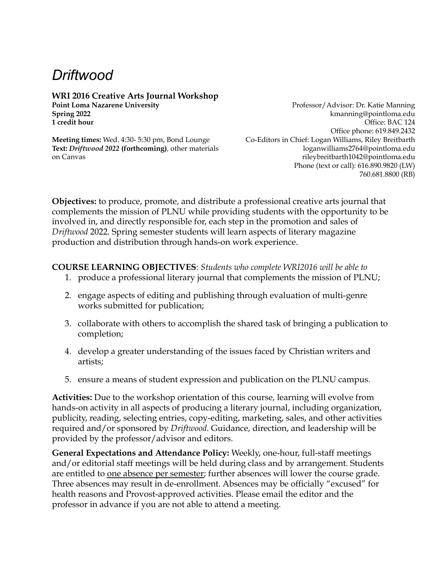# *Driftwood*

# **WRI 2016 Creative Arts Journal Workshop**

**Text:** *Driftwood 2022* **(forthcoming)***,* other materials on Canvas

**Point Loma Nazarene University Professor/Advisor: Dr. Katie Manning Spring 2022** kmanning@pointloma.edu **1 credit hour** Office: BAC 124 Office phone: 619.849.2432 **Meeting times:** Wed. 4:30- 5:30 pm, Bond Lounge Co-Editors in Chief: Logan Williams, Riley Breitbarth loganwilliams2764@pointloma.edu rileybreitbarth1042@pointloma.edu Phone (text or call): 616.890.9820 (LW) 760.681.8800 (RB)

**Objectives:** to produce, promote, and distribute a professional creative arts journal that complements the mission of PLNU while providing students with the opportunity to be involved in, and directly responsible for, each step in the promotion and sales of *Driftwood* 2022. Spring semester students will learn aspects of literary magazine production and distribution through hands-on work experience.

# **COURSE LEARNING OBJECTIVES**: *Students who complete WRI2016 will be able to*

- 1. produce a professional literary journal that complements the mission of PLNU;
- 2. engage aspects of editing and publishing through evaluation of multi-genre works submitted for publication;
- 3. collaborate with others to accomplish the shared task of bringing a publication to completion;
- 4. develop a greater understanding of the issues faced by Christian writers and artists;
- 5. ensure a means of student expression and publication on the PLNU campus.

**Activities:** Due to the workshop orientation of this course, learning will evolve from hands-on activity in all aspects of producing a literary journal, including organization, publicity, reading, selecting entries, copy-editing, marketing, sales, and other activities required and/or sponsored by *Driftwood*. Guidance, direction, and leadership will be provided by the professor/advisor and editors.

**General Expectations and Attendance Policy:** Weekly, one-hour, full-staff meetings and/or editorial staff meetings will be held during class and by arrangement. Students are entitled to one absence per semester; further absences will lower the course grade. Three absences may result in de-enrollment. Absences may be officially "excused" for health reasons and Provost-approved activities. Please email the editor and the professor in advance if you are not able to attend a meeting.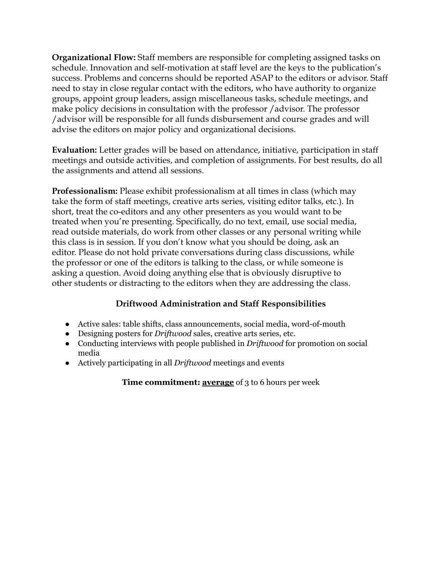**Organizational Flow:** Staff members are responsible for completing assigned tasks on schedule. Innovation and self-motivation at staff level are the keys to the publication's success. Problems and concerns should be reported ASAP to the editors or advisor. Staff need to stay in close regular contact with the editors, who have authority to organize groups, appoint group leaders, assign miscellaneous tasks, schedule meetings, and make policy decisions in consultation with the professor /advisor. The professor /advisor will be responsible for all funds disbursement and course grades and will advise the editors on major policy and organizational decisions.

**Evaluation:** Letter grades will be based on attendance, initiative, participation in staff meetings and outside activities, and completion of assignments. For best results, do all the assignments and attend all sessions.

**Professionalism:** Please exhibit professionalism at all times in class (which may take the form of staff meetings, creative arts series, visiting editor talks, etc.). In short, treat the co-editors and any other presenters as you would want to be treated when you're presenting. Specifically, do no text, email, use social media, read outside materials, do work from other classes or any personal writing while this class is in session. If you don't know what you should be doing, ask an editor. Please do not hold private conversations during class discussions, while the professor or one of the editors is talking to the class, or while someone is asking a question. Avoid doing anything else that is obviously disruptive to other students or distracting to the editors when they are addressing the class.

# **Driftwood Administration and Staff Responsibilities**

- Active sales: table shifts, class announcements, social media, word-of-mouth
- Designing posters for *Driftwood* sales, creative arts series, etc.
- Conducting interviews with people published in *Driftwood* for promotion on social media
- Actively participating in all *Driftwood* meetings and events

**Time commitment: average** of 3 to 6 hours per week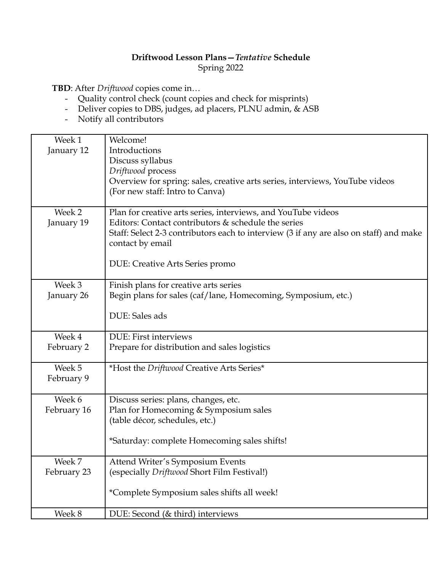# **Driftwood Lesson Plans—***Tentative* **Schedule** Spring 2022

**TBD**: After *Driftwood* copies come in…

- Quality control check (count copies and check for misprints)
- Deliver copies to DBS, judges, ad placers, PLNU admin, & ASB
- Notify all contributors

| Week 1      | Welcome!                                                                               |
|-------------|----------------------------------------------------------------------------------------|
| January 12  | Introductions                                                                          |
|             | Discuss syllabus                                                                       |
|             | Driftwood process                                                                      |
|             |                                                                                        |
|             | Overview for spring: sales, creative arts series, interviews, YouTube videos           |
|             | (For new staff: Intro to Canva)                                                        |
|             |                                                                                        |
| Week 2      | Plan for creative arts series, interviews, and YouTube videos                          |
| January 19  | Editors: Contact contributors & schedule the series                                    |
|             | Staff: Select 2-3 contributors each to interview (3 if any are also on staff) and make |
|             | contact by email                                                                       |
|             |                                                                                        |
|             | DUE: Creative Arts Series promo                                                        |
|             |                                                                                        |
| Week 3      | Finish plans for creative arts series                                                  |
|             |                                                                                        |
| January 26  | Begin plans for sales (caf/lane, Homecoming, Symposium, etc.)                          |
|             | DUE: Sales ads                                                                         |
|             |                                                                                        |
| Week 4      | DUE: First interviews                                                                  |
| February 2  | Prepare for distribution and sales logistics                                           |
|             |                                                                                        |
| Week 5      | *Host the Driftwood Creative Arts Series*                                              |
| February 9  |                                                                                        |
|             |                                                                                        |
| Week 6      | Discuss series: plans, changes, etc.                                                   |
| February 16 | Plan for Homecoming & Symposium sales                                                  |
|             | (table décor, schedules, etc.)                                                         |
|             |                                                                                        |
|             | *Saturday: complete Homecoming sales shifts!                                           |
|             |                                                                                        |
| Week 7      | Attend Writer's Symposium Events                                                       |
| February 23 | (especially Driftwood Short Film Festival!)                                            |
|             |                                                                                        |
|             | *Complete Symposium sales shifts all week!                                             |
|             |                                                                                        |
| Week 8      | DUE: Second (& third) interviews                                                       |
|             |                                                                                        |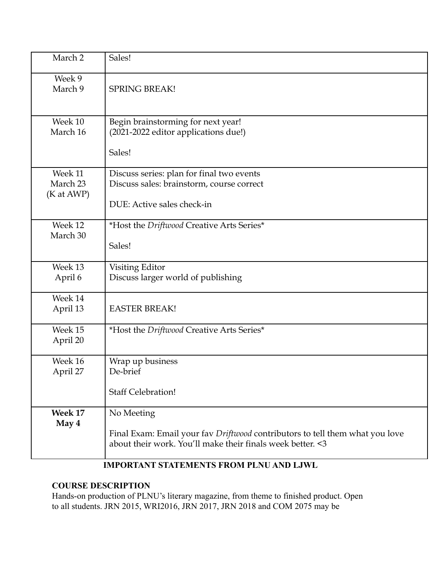| March 2                           | Sales!                                                                                                                                                   |
|-----------------------------------|----------------------------------------------------------------------------------------------------------------------------------------------------------|
| Week 9<br>March 9                 | <b>SPRING BREAK!</b>                                                                                                                                     |
| Week 10<br>March 16               | Begin brainstorming for next year!<br>(2021-2022 editor applications due!)<br>Sales!                                                                     |
| Week 11<br>March 23<br>(K at AWP) | Discuss series: plan for final two events<br>Discuss sales: brainstorm, course correct<br>DUE: Active sales check-in                                     |
| Week 12<br>March 30               | *Host the Driftwood Creative Arts Series*<br>Sales!                                                                                                      |
| Week 13<br>April 6                | Visiting Editor<br>Discuss larger world of publishing                                                                                                    |
| Week 14<br>April 13               | <b>EASTER BREAK!</b>                                                                                                                                     |
| Week 15<br>April 20               | *Host the Driftwood Creative Arts Series*                                                                                                                |
| Week 16<br>April 27               | Wrap up business<br>De-brief<br><b>Staff Celebration!</b>                                                                                                |
| Week 17<br>May 4                  | No Meeting<br>Final Exam: Email your fav Driftwood contributors to tell them what you love<br>about their work. You'll make their finals week better. <3 |

# **IMPORTANT STATEMENTS FROM PLNU AND LJWL**

# **COURSE DESCRIPTION**

Hands-on production of PLNU's literary magazine, from theme to finished product. Open to all students. JRN 2015, WRI2016, JRN 2017, JRN 2018 and COM 2075 may be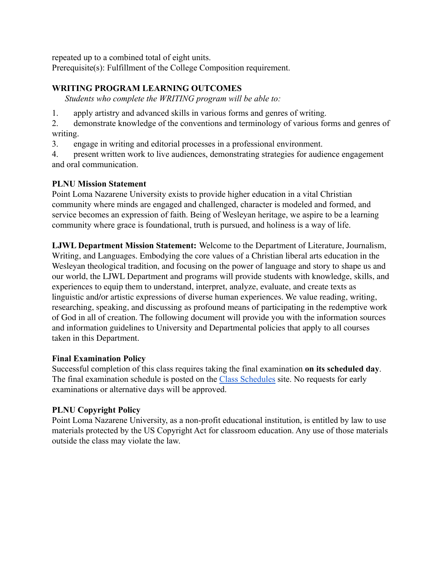repeated up to a combined total of eight units.

Prerequisite(s): Fulfillment of the College Composition requirement.

#### **WRITING PROGRAM LEARNING OUTCOMES**

*Students who complete the WRITING program will be able to:*

1. apply artistry and advanced skills in various forms and genres of writing.

2. demonstrate knowledge of the conventions and terminology of various forms and genres of writing.

3. engage in writing and editorial processes in a professional environment.

4. present written work to live audiences, demonstrating strategies for audience engagement and oral communication.

#### **PLNU Mission Statement**

Point Loma Nazarene University exists to provide higher education in a vital Christian community where minds are engaged and challenged, character is modeled and formed, and service becomes an expression of faith. Being of Wesleyan heritage, we aspire to be a learning community where grace is foundational, truth is pursued, and holiness is a way of life.

**LJWL Department Mission Statement:** Welcome to the Department of Literature, Journalism, Writing, and Languages. Embodying the core values of a Christian liberal arts education in the Wesleyan theological tradition, and focusing on the power of language and story to shape us and our world, the LJWL Department and programs will provide students with knowledge, skills, and experiences to equip them to understand, interpret, analyze, evaluate, and create texts as linguistic and/or artistic expressions of diverse human experiences. We value reading, writing, researching, speaking, and discussing as profound means of participating in the redemptive work of God in all of creation. The following document will provide you with the information sources and information guidelines to University and Departmental policies that apply to all courses taken in this Department.

#### **Final Examination Policy**

Successful completion of this class requires taking the final examination **on its scheduled day**. The final examination schedule is posted on the Class [Schedules](http://www.pointloma.edu/experience/academics/class-schedules) site. No requests for early examinations or alternative days will be approved.

#### **PLNU Copyright Policy**

Point Loma Nazarene University, as a non-profit educational institution, is entitled by law to use materials protected by the US Copyright Act for classroom education. Any use of those materials outside the class may violate the law.